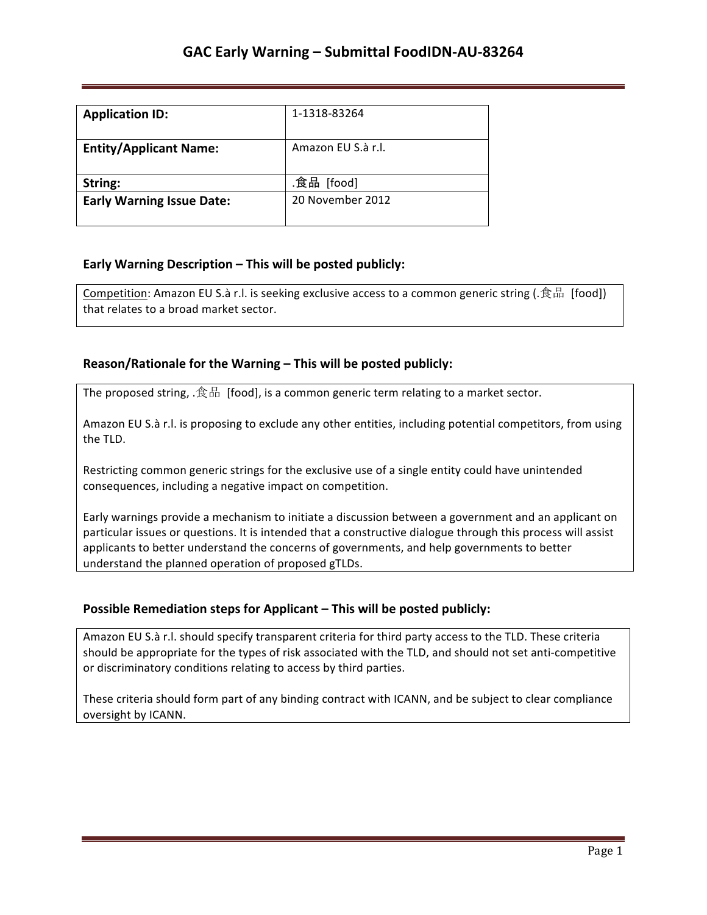| <b>Application ID:</b>           | 1-1318-83264       |
|----------------------------------|--------------------|
| <b>Entity/Applicant Name:</b>    | Amazon EU S.à r.l. |
| String:                          | .食品 [food]         |
| <b>Early Warning Issue Date:</b> | 20 November 2012   |

## **Early Warning Description – This will be posted publicly:**

Competition: Amazon EU S.à r.l. is seeking exclusive access to a common generic string (.食品 [food]) that relates to a broad market sector.

### **Reason/Rationale for the Warning – This will be posted publicly:**

The proposed string,  $.$ 食品 [food], is a common generic term relating to a market sector.

Amazon EU S.à r.l. is proposing to exclude any other entities, including potential competitors, from using the TLD.

Restricting common generic strings for the exclusive use of a single entity could have unintended consequences, including a negative impact on competition.

Early warnings provide a mechanism to initiate a discussion between a government and an applicant on particular issues or questions. It is intended that a constructive dialogue through this process will assist applicants to better understand the concerns of governments, and help governments to better understand the planned operation of proposed gTLDs.

### **Possible Remediation steps for Applicant – This will be posted publicly:**

Amazon EU S.à r.l. should specify transparent criteria for third party access to the TLD. These criteria should be appropriate for the types of risk associated with the TLD, and should not set anti-competitive or discriminatory conditions relating to access by third parties.

These criteria should form part of any binding contract with ICANN, and be subject to clear compliance oversight by ICANN.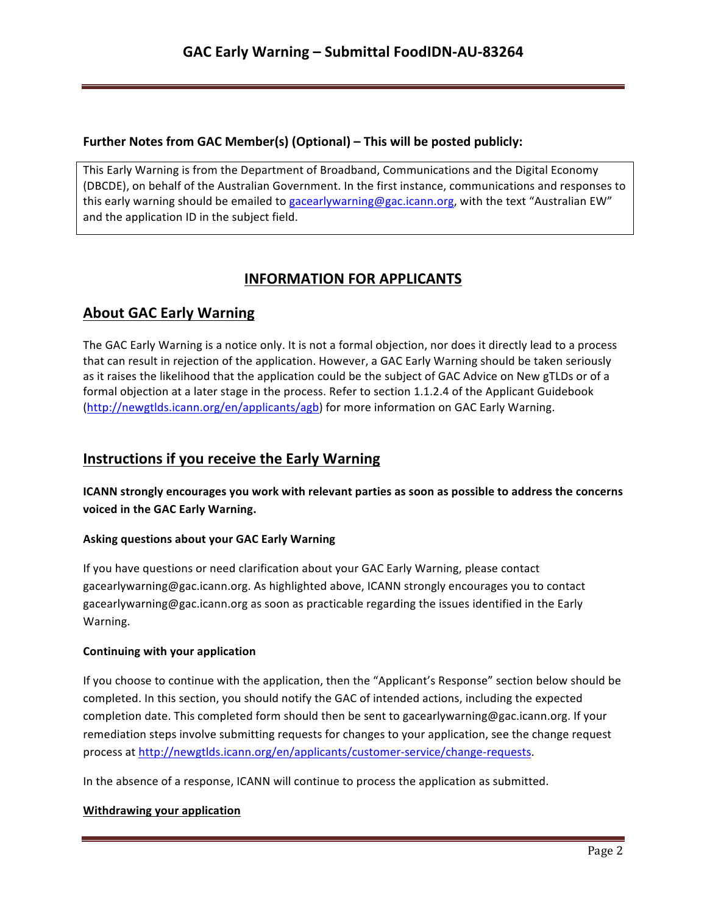## **Further Notes from GAC Member(s) (Optional) – This will be posted publicly:**

This Early Warning is from the Department of Broadband, Communications and the Digital Economy (DBCDE), on behalf of the Australian Government. In the first instance, communications and responses to this early warning should be emailed to gacearlywarning@gac.icann.org, with the text "Australian EW" and the application ID in the subject field.

# **INFORMATION FOR APPLICANTS**

# **About GAC Early Warning**

The GAC Early Warning is a notice only. It is not a formal objection, nor does it directly lead to a process that can result in rejection of the application. However, a GAC Early Warning should be taken seriously as it raises the likelihood that the application could be the subject of GAC Advice on New gTLDs or of a formal objection at a later stage in the process. Refer to section 1.1.2.4 of the Applicant Guidebook (http://newgtlds.icann.org/en/applicants/agb) for more information on GAC Early Warning.

## **Instructions if you receive the Early Warning**

**ICANN** strongly encourages you work with relevant parties as soon as possible to address the concerns voiced in the GAC Early Warning.

### **Asking questions about your GAC Early Warning**

If you have questions or need clarification about your GAC Early Warning, please contact gacearlywarning@gac.icann.org. As highlighted above, ICANN strongly encourages you to contact gacearlywarning@gac.icann.org as soon as practicable regarding the issues identified in the Early Warning. 

### **Continuing with your application**

If you choose to continue with the application, then the "Applicant's Response" section below should be completed. In this section, you should notify the GAC of intended actions, including the expected completion date. This completed form should then be sent to gacearlywarning@gac.icann.org. If your remediation steps involve submitting requests for changes to your application, see the change request process at http://newgtlds.icann.org/en/applicants/customer-service/change-requests.

In the absence of a response, ICANN will continue to process the application as submitted.

### **Withdrawing your application**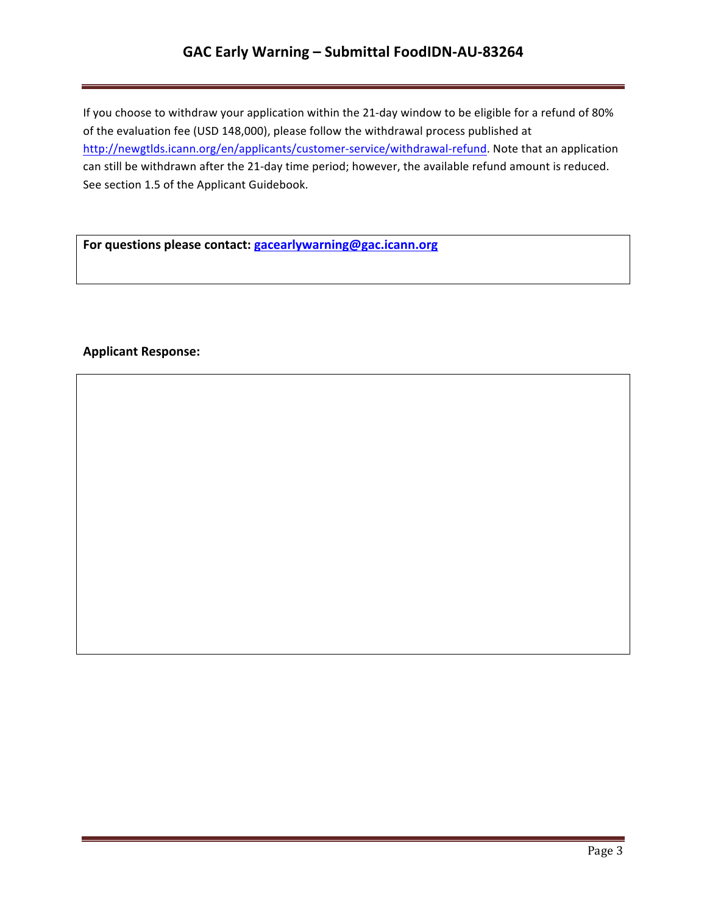# GAC Early Warning - Submittal FoodIDN-AU-83264

If you choose to withdraw your application within the 21-day window to be eligible for a refund of 80% of the evaluation fee (USD 148,000), please follow the withdrawal process published at http://newgtlds.icann.org/en/applicants/customer-service/withdrawal-refund. Note that an application can still be withdrawn after the 21-day time period; however, the available refund amount is reduced. See section 1.5 of the Applicant Guidebook.

For questions please contact: **gacearlywarning@gac.icann.org** 

## **Applicant Response:**